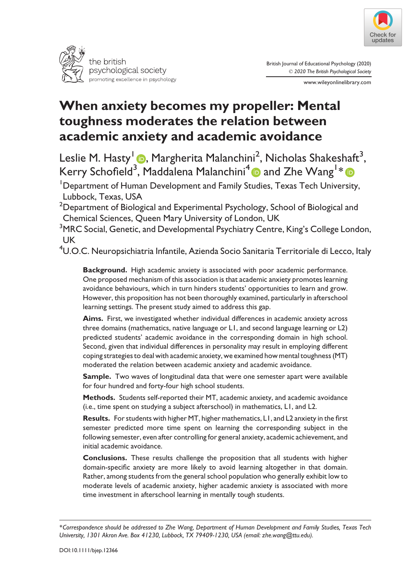



British Journal of Educational Psychology (2020) © 2020 The British Psychological Society

www.wileyonlinelibrary.com

# When anxiety becomes my propeller: Mental toughness moderates the relation between academic anxiety and academic avoidance

Leslie M. Hasty<sup>1</sup> (D, Margherita Malanchini<sup>2</sup>, Nicholas Shakeshaft<sup>3</sup>, Kerry Schofield<sup>[3](https://orcid.org/0000-0003-3230-4140)</sup>, Maddalena Malanchini<sup>[4](https://orcid.org/0000-0002-7257-6119)</sup> @ and Zhe Wang<sup>1</sup>\*

<sup>1</sup>Department of Human Development and Family Studies, Texas Tech University, Lubbock, Texas, USA

 $^{\rm 2}$ Department of Biological and Experimental Psychology, School of Biological and Chemical Sciences, Queen Mary University of London, UK

 $^3$ MRC Social, Genetic, and Developmental Psychiatry Centre, King's College London, UK

 $^4$ U.O.C. Neuropsichiatria Infantile, Azienda Socio Sanitaria Territoriale di Lecco, Italy

Background. High academic anxiety is associated with poor academic performance. One proposed mechanism of this association is that academic anxiety promotes learning avoidance behaviours, which in turn hinders students' opportunities to learn and grow. However, this proposition has not been thoroughly examined, particularly in afterschool learning settings. The present study aimed to address this gap.

Aims. First, we investigated whether individual differences in academic anxiety across three domains (mathematics, native language or L1, and second language learning or L2) predicted students' academic avoidance in the corresponding domain in high school. Second, given that individual differences in personality may result in employing different coping strategies to deal with academic anxiety, we examined how mental toughness (MT) moderated the relation between academic anxiety and academic avoidance.

Sample. Two waves of longitudinal data that were one semester apart were available for four hundred and forty-four high school students.

Methods. Students self-reported their MT, academic anxiety, and academic avoidance (i.e., time spent on studying a subject afterschool) in mathematics, L1, and L2.

Results. For students with higher MT, higher mathematics, L1, and L2 anxiety in the first semester predicted more time spent on learning the corresponding subject in the following semester, even after controlling for general anxiety, academic achievement, and initial academic avoidance.

Conclusions. These results challenge the proposition that all students with higher domain-specific anxiety are more likely to avoid learning altogether in that domain. Rather, among students from the general school population who generally exhibit low to moderate levels of academic anxiety, higher academic anxiety is associated with more time investment in afterschool learning in mentally tough students.

<sup>\*</sup>Correspondence should be addressed to Zhe Wang, Department of Human Development and Family Studies, Texas Tech University, 1301 Akron Ave. Box 41230, Lubbock, TX 79409-1230, USA (email: [zhe.wang@ttu.edu](mailto:zhe.wang@ttu.edu)).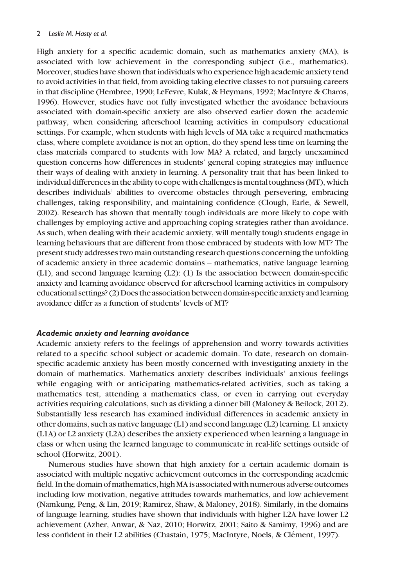High anxiety for a specific academic domain, such as mathematics anxiety (MA), is associated with low achievement in the corresponding subject (i.e., mathematics). Moreover, studies have shown that individuals who experience high academic anxiety tend to avoid activities in that field, from avoiding taking elective classes to not pursuing careers in that discipline (Hembree, 1990; LeFevre, Kulak, & Heymans, 1992; MacIntyre & Charos, 1996). However, studies have not fully investigated whether the avoidance behaviours associated with domain-specific anxiety are also observed earlier down the academic pathway, when considering afterschool learning activities in compulsory educational settings. For example, when students with high levels of MA take a required mathematics class, where complete avoidance is not an option, do they spend less time on learning the class materials compared to students with low MA? A related, and largely unexamined question concerns how differences in students' general coping strategies may influence their ways of dealing with anxiety in learning. A personality trait that has been linked to individual differences in the ability to cope with challenges ismental toughness (MT), which describes individuals' abilities to overcome obstacles through persevering, embracing challenges, taking responsibility, and maintaining confidence (Clough, Earle, & Sewell, 2002). Research has shown that mentally tough individuals are more likely to cope with challenges by employing active and approaching coping strategies rather than avoidance. As such, when dealing with their academic anxiety, will mentally tough students engage in learning behaviours that are different from those embraced by students with low MT? The present study addresses two main outstanding research questions concerning the unfolding of academic anxiety in three academic domains – mathematics, native language learning (L1), and second language learning (L2): (1) Is the association between domain-specific anxiety and learning avoidance observed for afterschool learning activities in compulsory educational settings? (2) Does the association between domain-specific anxiety and learning avoidance differ as a function of students' levels of MT?

#### Academic anxiety and learning avoidance

Academic anxiety refers to the feelings of apprehension and worry towards activities related to a specific school subject or academic domain. To date, research on domainspecific academic anxiety has been mostly concerned with investigating anxiety in the domain of mathematics. Mathematics anxiety describes individuals' anxious feelings while engaging with or anticipating mathematics-related activities, such as taking a mathematics test, attending a mathematics class, or even in carrying out everyday activities requiring calculations, such as dividing a dinner bill (Maloney & Beilock, 2012). Substantially less research has examined individual differences in academic anxiety in other domains, such as native language (L1) and second language (L2) learning. L1 anxiety (L1A) or L2 anxiety (L2A) describes the anxiety experienced when learning a language in class or when using the learned language to communicate in real-life settings outside of school (Horwitz, 2001).

Numerous studies have shown that high anxiety for a certain academic domain is associated with multiple negative achievement outcomes in the corresponding academic field. In the domain ofmathematics, highMA is associated with numerous adverse outcomes including low motivation, negative attitudes towards mathematics, and low achievement (Namkung, Peng, & Lin, 2019; Ramirez, Shaw, & Maloney, 2018). Similarly, in the domains of language learning, studies have shown that individuals with higher L2A have lower L2 achievement (Azher, Anwar, & Naz, 2010; Horwitz, 2001; Saito & Samimy, 1996) and are less confident in their L2 abilities (Chastain, 1975; MacIntyre, Noels, & Clément, 1997).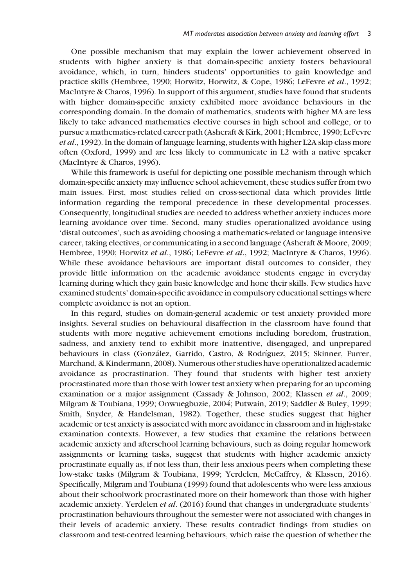One possible mechanism that may explain the lower achievement observed in students with higher anxiety is that domain-specific anxiety fosters behavioural avoidance, which, in turn, hinders students' opportunities to gain knowledge and practice skills (Hembree, 1990; Horwitz, Horwitz, & Cope, 1986; LeFevre et al., 1992; MacIntyre & Charos, 1996). In support of this argument, studies have found that students with higher domain-specific anxiety exhibited more avoidance behaviours in the corresponding domain. In the domain of mathematics, students with higher MA are less likely to take advanced mathematics elective courses in high school and college, or to pursue a mathematics-related career path (Ashcraft & Kirk, 2001; Hembree, 1990; LeFevre et al., 1992). In the domain of language learning, students with higher L2A skip class more often (Oxford, 1999) and are less likely to communicate in L2 with a native speaker (MacIntyre & Charos, 1996).

While this framework is useful for depicting one possible mechanism through which domain-specific anxiety may influence school achievement, these studies suffer from two main issues. First, most studies relied on cross-sectional data which provides little information regarding the temporal precedence in these developmental processes. Consequently, longitudinal studies are needed to address whether anxiety induces more learning avoidance over time. Second, many studies operationalized avoidance using 'distal outcomes', such as avoiding choosing a mathematics-related or language intensive career, taking electives, or communicating in a second language (Ashcraft & Moore, 2009; Hembree, 1990; Horwitz et al., 1986; LeFevre et al., 1992; MacIntyre & Charos, 1996). While these avoidance behaviours are important distal outcomes to consider, they provide little information on the academic avoidance students engage in everyday learning during which they gain basic knowledge and hone their skills. Few studies have examined students' domain-specific avoidance in compulsory educational settings where complete avoidance is not an option.

In this regard, studies on domain-general academic or test anxiety provided more insights. Several studies on behavioural disaffection in the classroom have found that students with more negative achievement emotions including boredom, frustration, sadness, and anxiety tend to exhibit more inattentive, disengaged, and unprepared behaviours in class (González, Garrido, Castro, & Rodríguez, 2015; Skinner, Furrer, Marchand, & Kindermann, 2008). Numerous other studies have operationalized academic avoidance as procrastination. They found that students with higher test anxiety procrastinated more than those with lower test anxiety when preparing for an upcoming examination or a major assignment (Cassady & Johnson, 2002; Klassen et al., 2009; Milgram & Toubiana, 1999; Onwuegbuzie, 2004; Putwain, 2019; Saddler & Buley, 1999; Smith, Snyder, & Handelsman, 1982). Together, these studies suggest that higher academic or test anxiety is associated with more avoidance in classroom and in high-stake examination contexts. However, a few studies that examine the relations between academic anxiety and afterschool learning behaviours, such as doing regular homework assignments or learning tasks, suggest that students with higher academic anxiety procrastinate equally as, if not less than, their less anxious peers when completing these low-stake tasks (Milgram & Toubiana, 1999; Yerdelen, McCaffrey, & Klassen, 2016). Specifically, Milgram and Toubiana (1999) found that adolescents who were less anxious about their schoolwork procrastinated more on their homework than those with higher academic anxiety. Yerdelen et al. (2016) found that changes in undergraduate students' procrastination behaviours throughout the semester were not associated with changes in their levels of academic anxiety. These results contradict findings from studies on classroom and test-centred learning behaviours, which raise the question of whether the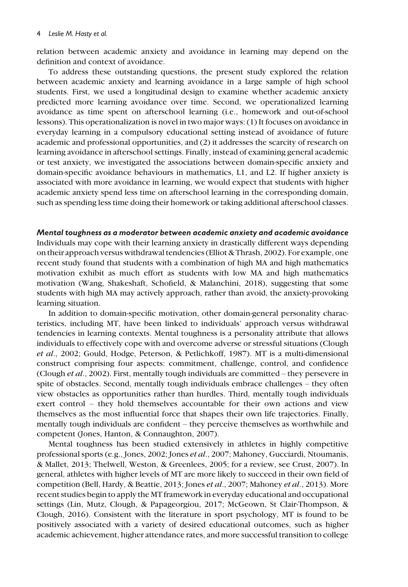relation between academic anxiety and avoidance in learning may depend on the definition and context of avoidance.

To address these outstanding questions, the present study explored the relation between academic anxiety and learning avoidance in a large sample of high school students. First, we used a longitudinal design to examine whether academic anxiety predicted more learning avoidance over time. Second, we operationalized learning avoidance as time spent on afterschool learning (i.e., homework and out-of-school lessons). This operationalization is novel in two major ways: (1) It focuses on avoidance in everyday learning in a compulsory educational setting instead of avoidance of future academic and professional opportunities, and (2) it addresses the scarcity of research on learning avoidance in afterschool settings. Finally, instead of examining general academic or test anxiety, we investigated the associations between domain-specific anxiety and domain-specific avoidance behaviours in mathematics, L1, and L2. If higher anxiety is associated with more avoidance in learning, we would expect that students with higher academic anxiety spend less time on afterschool learning in the corresponding domain, such as spending less time doing their homework or taking additional afterschool classes.

Mental toughness as a moderator between academic anxiety and academic avoidance Individuals may cope with their learning anxiety in drastically different ways depending on their approach versus withdrawal tendencies (Elliot & Thrash, 2002). For example, one recent study found that students with a combination of high MA and high mathematics motivation exhibit as much effort as students with low MA and high mathematics motivation (Wang, Shakeshaft, Schofield, & Malanchini, 2018), suggesting that some students with high MA may actively approach, rather than avoid, the anxiety-provoking learning situation.

In addition to domain-specific motivation, other domain-general personality characteristics, including MT, have been linked to individuals' approach versus withdrawal tendencies in learning contexts. Mental toughness is a personality attribute that allows individuals to effectively cope with and overcome adverse or stressful situations (Clough et al., 2002; Gould, Hodge, Peterson, & Petlichkoff, 1987). MT is a multi-dimensional construct comprising four aspects: commitment, challenge, control, and confidence (Clough et al., 2002). First, mentally tough individuals are committed – they persevere in spite of obstacles. Second, mentally tough individuals embrace challenges – they often view obstacles as opportunities rather than hurdles. Third, mentally tough individuals exert control – they hold themselves accountable for their own actions and view themselves as the most influential force that shapes their own life trajectories. Finally, mentally tough individuals are confident – they perceive themselves as worthwhile and competent (Jones, Hanton, & Connaughton, 2007).

Mental toughness has been studied extensively in athletes in highly competitive professional sports (e.g., Jones, 2002; Jones et al., 2007; Mahoney, Gucciardi, Ntoumanis, & Mallet, 2013; Thelwell, Weston, & Greenlees, 2005; for a review, see Crust, 2007). In general, athletes with higher levels of MT are more likely to succeed in their own field of competition (Bell, Hardy, & Beattie, 2013; Jones et al., 2007; Mahoney et al., 2013). More recent studies begin to apply the MT framework in everyday educational and occupational settings (Lin, Mutz, Clough, & Papageorgiou, 2017; McGeown, St Clair-Thompson, & Clough, 2016). Consistent with the literature in sport psychology, MT is found to be positively associated with a variety of desired educational outcomes, such as higher academic achievement, higher attendance rates, and more successful transition to college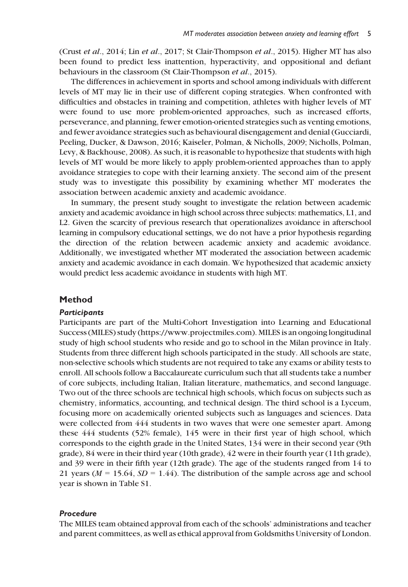(Crust et al., 2014; Lin et al., 2017; St Clair-Thompson et al., 2015). Higher MT has also been found to predict less inattention, hyperactivity, and oppositional and defiant behaviours in the classroom (St Clair-Thompson et al., 2015).

The differences in achievement in sports and school among individuals with different levels of MT may lie in their use of different coping strategies. When confronted with difficulties and obstacles in training and competition, athletes with higher levels of MT were found to use more problem-oriented approaches, such as increased efforts, perseverance, and planning, fewer emotion-oriented strategies such as venting emotions, and fewer avoidance strategies such as behavioural disengagement and denial (Gucciardi, Peeling, Ducker, & Dawson, 2016; Kaiseler, Polman, & Nicholls, 2009; Nicholls, Polman, Levy, & Backhouse, 2008). As such, it is reasonable to hypothesize that students with high levels of MT would be more likely to apply problem-oriented approaches than to apply avoidance strategies to cope with their learning anxiety. The second aim of the present study was to investigate this possibility by examining whether MT moderates the association between academic anxiety and academic avoidance.

In summary, the present study sought to investigate the relation between academic anxiety and academic avoidance in high school across three subjects: mathematics, L1, and L2. Given the scarcity of previous research that operationalizes avoidance in afterschool learning in compulsory educational settings, we do not have a prior hypothesis regarding the direction of the relation between academic anxiety and academic avoidance. Additionally, we investigated whether MT moderated the association between academic anxiety and academic avoidance in each domain. We hypothesized that academic anxiety would predict less academic avoidance in students with high MT.

#### Method

#### **Participants**

Participants are part of the Multi-Cohort Investigation into Learning and Educational Success (MILES) study [\(https://www.projectmiles.com](https://www.projectmiles.com)). MILES is an ongoing longitudinal study of high school students who reside and go to school in the Milan province in Italy. Students from three different high schools participated in the study. All schools are state, non-selective schools which students are not required to take any exams or ability tests to enroll. All schools follow a Baccalaureate curriculum such that all students take a number of core subjects, including Italian, Italian literature, mathematics, and second language. Two out of the three schools are technical high schools, which focus on subjects such as chemistry, informatics, accounting, and technical design. The third school is a Lyceum, focusing more on academically oriented subjects such as languages and sciences. Data were collected from 444 students in two waves that were one semester apart. Among these 444 students (52% female), 145 were in their first year of high school, which corresponds to the eighth grade in the United States, 134 were in their second year (9th grade), 84 were in their third year (10th grade), 42 were in their fourth year (11th grade), and 39 were in their fifth year (12th grade). The age of the students ranged from 14 to 21 years ( $M = 15.64$ ,  $SD = 1.44$ ). The distribution of the sample across age and school year is shown in Table S1.

# Procedure

The MILES team obtained approval from each of the schools' administrations and teacher and parent committees, as well as ethical approval from Goldsmiths University of London.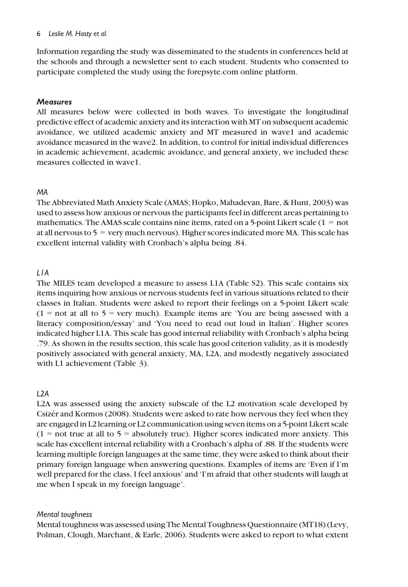Information regarding the study was disseminated to the students in conferences held at the schools and through a newsletter sent to each student. Students who consented to participate completed the study using the [forepsyte.com](http://www.forepsyte.com) online platform.

## **Measures**

All measures below were collected in both waves. To investigate the longitudinal predictive effect of academic anxiety and its interaction with MT on subsequent academic avoidance, we utilized academic anxiety and MT measured in wave1 and academic avoidance measured in the wave2. In addition, to control for initial individual differences in academic achievement, academic avoidance, and general anxiety, we included these measures collected in wave1.

## MA

The Abbreviated Math Anxiety Scale (AMAS; Hopko, Mahadevan, Bare, & Hunt, 2003) was used to assess how anxious or nervous the participants feel in different areas pertaining to mathematics. The AMAS scale contains nine items, rated on a 5-point Likert scale  $(1 = not$ at all nervous to  $5 = \text{very much nervous}$ . Higher scores indicated more MA. This scale has excellent internal validity with Cronbach's alpha being .84.

## L1A

The MILES team developed a measure to assess L1A (Table S2). This scale contains six items inquiring how anxious or nervous students feel in various situations related to their classes in Italian. Students were asked to report their feelings on a 5-point Likert scale  $(1 = not at all to 5 = very much)$ . Example items are 'You are being assessed with a literacy composition/essay' and 'You need to read out loud in Italian'. Higher scores indicated higher L1A. This scale has good internal reliability with Cronbach's alpha being .79. As shown in the results section, this scale has good criterion validity, as it is modestly positively associated with general anxiety, MA, L2A, and modestly negatively associated with L1 achievement (Table 3).

# $12A$

L2A was assessed using the anxiety subscale of the L2 motivation scale developed by Csizer and Kormos (2008). Students were asked to rate how nervous they feel when they are engaged in L2 learning or L2 communication using seven items on a 5-point Likert scale  $(1 =$  not true at all to  $5 =$  absolutely true). Higher scores indicated more anxiety. This scale has excellent internal reliability with a Cronbach's alpha of .88. If the students were learning multiple foreign languages at the same time, they were asked to think about their primary foreign language when answering questions. Examples of items are 'Even if I'm well prepared for the class, I feel anxious' and 'I'm afraid that other students will laugh at me when I speak in my foreign language'.

# Mental toughness

Mental toughness was assessed using The Mental Toughness Questionnaire (MT18) (Levy, Polman, Clough, Marchant, & Earle, 2006). Students were asked to report to what extent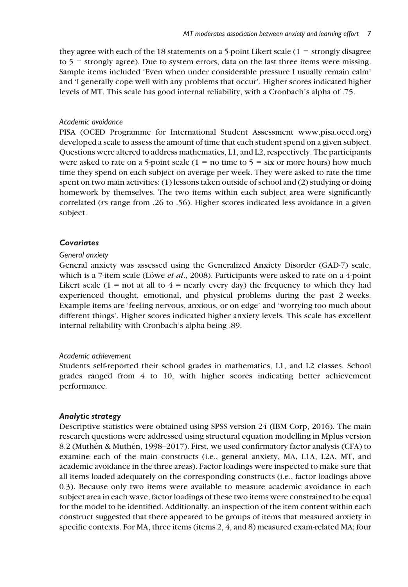they agree with each of the 18 statements on a 5-point Likert scale (1 = strongly disagree to  $5 =$  strongly agree). Due to system errors, data on the last three items were missing. Sample items included 'Even when under considerable pressure I usually remain calm' and 'I generally cope well with any problems that occur'. Higher scores indicated higher levels of MT. This scale has good internal reliability, with a Cronbach's alpha of .75.

#### Academic avoidance

PISA (OCED Programme for International Student Assessment [www.pisa.oecd.org\)](http://www.pisa.oecd.org) developed a scale to assess the amount of time that each student spend on a given subject. Questions were altered to address mathematics, L1, and L2, respectively. The participants were asked to rate on a 5-point scale  $(1 = no$  time to  $5 = six$  or more hours) how much time they spend on each subject on average per week. They were asked to rate the time spent on two main activities: (1) lessons taken outside of school and (2) studying or doing homework by themselves. The two items within each subject area were significantly correlated (rs range from .26 to .56). Higher scores indicated less avoidance in a given subject.

#### **Covariates**

## General anxiety

General anxiety was assessed using the Generalized Anxiety Disorder (GAD-7) scale, which is a 7-item scale (Löwe *et al.*, 2008). Participants were asked to rate on a 4-point Likert scale (1 = not at all to  $4$  = nearly every day) the frequency to which they had experienced thought, emotional, and physical problems during the past 2 weeks. Example items are 'feeling nervous, anxious, or on edge' and 'worrying too much about different things'. Higher scores indicated higher anxiety levels. This scale has excellent internal reliability with Cronbach's alpha being .89.

#### Academic achievement

Students self-reported their school grades in mathematics, L1, and L2 classes. School grades ranged from 4 to 10, with higher scores indicating better achievement performance.

#### Analytic strategy

Descriptive statistics were obtained using SPSS version 24 (IBM Corp, 2016). The main research questions were addressed using structural equation modelling in Mplus version 8.2 (Muthén & Muthén, 1998–2017). First, we used confirmatory factor analysis (CFA) to examine each of the main constructs (i.e., general anxiety, MA, L1A, L2A, MT, and academic avoidance in the three areas). Factor loadings were inspected to make sure that all items loaded adequately on the corresponding constructs (i.e., factor loadings above 0.3). Because only two items were available to measure academic avoidance in each subject area in each wave, factor loadings of these two items were constrained to be equal for the model to be identified. Additionally, an inspection of the item content within each construct suggested that there appeared to be groups of items that measured anxiety in specific contexts. For MA, three items (items 2, 4, and 8) measured exam-related MA; four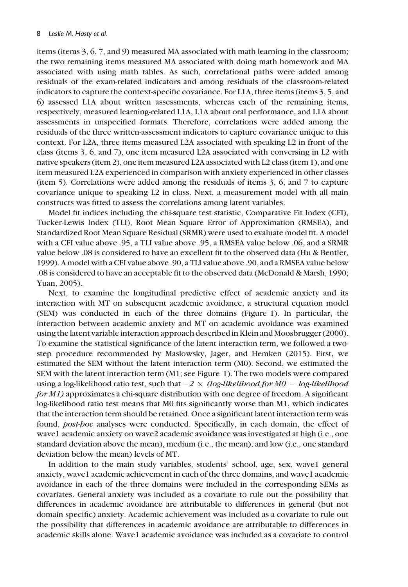items (items 3, 6, 7, and 9) measured MA associated with math learning in the classroom; the two remaining items measured MA associated with doing math homework and MA associated with using math tables. As such, correlational paths were added among residuals of the exam-related indicators and among residuals of the classroom-related indicators to capture the context-specific covariance. For L1A, three items (items 3, 5, and 6) assessed L1A about written assessments, whereas each of the remaining items, respectively, measured learning-related L1A, L1A about oral performance, and L1A about assessments in unspecified formats. Therefore, correlations were added among the residuals of the three written-assessment indicators to capture covariance unique to this context. For L2A, three items measured L2A associated with speaking L2 in front of the class (items 3, 6, and 7), one item measured L2A associated with conversing in L2 with native speakers (item 2), one item measured L2A associated with L2 class (item 1), and one item measured L2A experienced in comparison with anxiety experienced in other classes (item 5). Correlations were added among the residuals of items 3, 6, and 7 to capture covariance unique to speaking L2 in class. Next, a measurement model with all main constructs was fitted to assess the correlations among latent variables.

Model fit indices including the chi-square test statistic, Comparative Fit Index (CFI), Tucker-Lewis Index (TLI), Root Mean Square Error of Approximation (RMSEA), and Standardized Root Mean Square Residual (SRMR) were used to evaluate model fit. A model with a CFI value above .95, a TLI value above .95, a RMSEA value below .06, and a SRMR value below .08 is considered to have an excellent fit to the observed data (Hu & Bentler, 1999). A model with a CFI value above .90, a TLI value above .90, and a RMSEA value below .08 is considered to have an acceptable fit to the observed data (McDonald & Marsh, 1990; Yuan, 2005).

Next, to examine the longitudinal predictive effect of academic anxiety and its interaction with MT on subsequent academic avoidance, a structural equation model (SEM) was conducted in each of the three domains (Figure 1). In particular, the interaction between academic anxiety and MT on academic avoidance was examined using the latent variable interaction approach described in Klein and Moosbrugger (2000). To examine the statistical significance of the latent interaction term, we followed a twostep procedure recommended by Maslowsky, Jager, and Hemken (2015). First, we estimated the SEM without the latent interaction term (M0). Second, we estimated the SEM with the latent interaction term (M1; see Figure 1). The two models were compared using a log-likelihood ratio test, such that  $-2 \times (log-likelihood$  for  $MO - log-likelihood$ for M1) approximates a chi-square distribution with one degree of freedom. A significant log-likelihood ratio test means that M0 fits significantly worse than M1, which indicates that the interaction term should be retained. Once a significant latent interaction term was found, post-hoc analyses were conducted. Specifically, in each domain, the effect of wave1 academic anxiety on wave2 academic avoidance was investigated at high (i.e., one standard deviation above the mean), medium (i.e., the mean), and low (i.e., one standard deviation below the mean) levels of MT.

In addition to the main study variables, students' school, age, sex, wave1 general anxiety, wave1 academic achievement in each of the three domains, and wave1 academic avoidance in each of the three domains were included in the corresponding SEMs as covariates. General anxiety was included as a covariate to rule out the possibility that differences in academic avoidance are attributable to differences in general (but not domain specific) anxiety. Academic achievement was included as a covariate to rule out the possibility that differences in academic avoidance are attributable to differences in academic skills alone. Wave1 academic avoidance was included as a covariate to control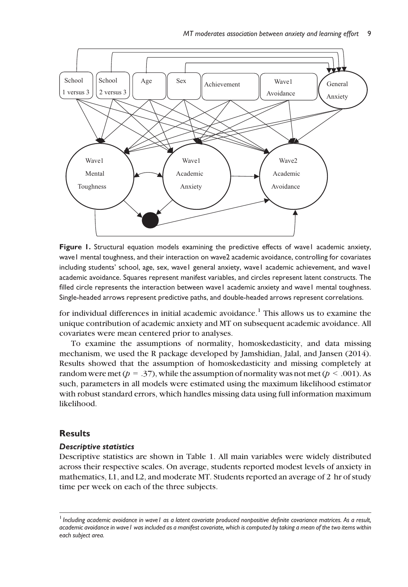

Figure 1. Structural equation models examining the predictive effects of wave1 academic anxiety, wave1 mental toughness, and their interaction on wave2 academic avoidance, controlling for covariates including students' school, age, sex, wave1 general anxiety, wave1 academic achievement, and wave1 academic avoidance. Squares represent manifest variables, and circles represent latent constructs. The filled circle represents the interaction between wave1 academic anxiety and wave1 mental toughness. Single-headed arrows represent predictive paths, and double-headed arrows represent correlations.

for individual differences in initial academic avoidance.<sup>1</sup> This allows us to examine the unique contribution of academic anxiety and MT on subsequent academic avoidance. All covariates were mean centered prior to analyses.

To examine the assumptions of normality, homoskedasticity, and data missing mechanism, we used the R package developed by Jamshidian, Jalal, and Jansen (2014). Results showed that the assumption of homoskedasticity and missing completely at random were met ( $p = .37$ ), while the assumption of normality was not met ( $p < .001$ ). As such, parameters in all models were estimated using the maximum likelihood estimator with robust standard errors, which handles missing data using full information maximum likelihood.

#### **Results**

#### Descriptive statistics

Descriptive statistics are shown in Table 1. All main variables were widely distributed across their respective scales. On average, students reported modest levels of anxiety in mathematics, L1, and L2, and moderate MT. Students reported an average of 2 hr of study time per week on each of the three subjects.

<sup>&</sup>lt;sup>1</sup> Including academic avoidance in wave I as a latent covariate produced nonpositive definite covariance matrices. As a result, academic avoidance in wave1 was included as a manifest covariate, which is computed by taking a mean of the two items within each subject area.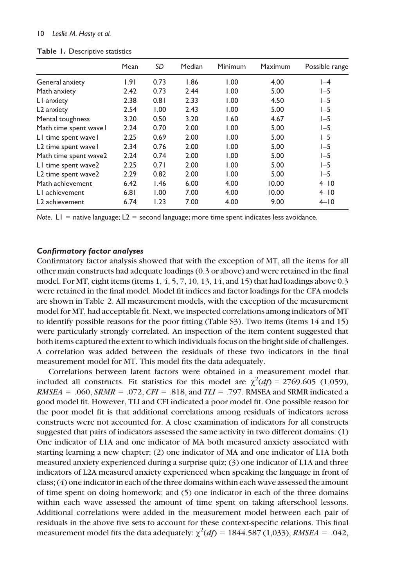|                            | Mean | SD   | Median | Minimum | Maximum | Possible range |
|----------------------------|------|------|--------|---------|---------|----------------|
| General anxiety            | .9   | 0.73 | 1.86   | 1.00    | 4.00    | $I-4$          |
| Math anxiety               | 2.42 | 0.73 | 2.44   | 1.00    | 5.00    | $I - 5$        |
| L1 anxiety                 | 2.38 | 0.81 | 2.33   | 1.00    | 4.50    | $I - 5$        |
| L <sub>2</sub> anxiety     | 2.54 | 1.00 | 2.43   | 1.00    | 5.00    | $1-5$          |
| Mental toughness           | 3.20 | 0.50 | 3.20   | 1.60    | 4.67    | $1-5$          |
| Math time spent wavel      | 2.24 | 0.70 | 2.00   | 1.00    | 5.00    | $1-5$          |
| LI time spent wavel        | 2.25 | 0.69 | 2.00   | 1.00    | 5.00    | $1-5$          |
| L2 time spent wave l       | 2.34 | 0.76 | 2.00   | 1.00    | 5.00    | $1-5$          |
| Math time spent wave2      | 2.24 | 0.74 | 2.00   | 1.00    | 5.00    | $1-5$          |
| LI time spent wave2        | 2.25 | 0.71 | 2.00   | 1.00    | 5.00    | $I - 5$        |
| L2 time spent wave2        | 2.29 | 0.82 | 2.00   | 1.00    | 5.00    | $1-5$          |
| Math achievement           | 6.42 | 1.46 | 6.00   | 4.00    | 10.00   | $4 - 10$       |
| L1 achievement             | 6.81 | 1.00 | 7.00   | 4.00    | 10.00   | $4 - 10$       |
| L <sub>2</sub> achievement | 6.74 | 1.23 | 7.00   | 4.00    | 9.00    | $4 - 10$       |

Table 1. Descriptive statistics

Note.  $LI =$  native language;  $L2 =$  second language; more time spent indicates less avoidance.

## Confirmatory factor analyses

Confirmatory factor analysis showed that with the exception of MT, all the items for all other main constructs had adequate loadings (0.3 or above) and were retained in the final model. For MT, eight items (items  $1, 4, 5, 7, 10, 13, 14$ , and  $15$ ) that had loadings above 0.3 were retained in the final model. Model fit indices and factor loadings for the CFA models are shown in Table 2. All measurement models, with the exception of the measurement model for MT, had acceptable fit. Next, we inspected correlations among indicators of MT to identify possible reasons for the poor fitting (Table S3). Two items (items 14 and 15) were particularly strongly correlated. An inspection of the item content suggested that both items captured the extent to which individuals focus on the bright side of challenges. A correlation was added between the residuals of these two indicators in the final measurement model for MT. This model fits the data adequately.

Correlations between latent factors were obtained in a measurement model that included all constructs. Fit statistics for this model are  $\chi^2(df) = 2769.605$  (1,059),  $RMSEA = .060$ ,  $SRMR = .072$ ,  $CFI = .818$ , and  $TLI = .797$ . RMSEA and SRMR indicated a good model fit. However, TLI and CFI indicated a poor model fit. One possible reason for the poor model fit is that additional correlations among residuals of indicators across constructs were not accounted for. A close examination of indicators for all constructs suggested that pairs of indicators assessed the same activity in two different domains: (1) One indicator of L1A and one indicator of MA both measured anxiety associated with starting learning a new chapter; (2) one indicator of MA and one indicator of L1A both measured anxiety experienced during a surprise quiz; (3) one indicator of L1A and three indicators of L2A measured anxiety experienced when speaking the language in front of class; (4) one indicator in each of the three domains within each wave assessed the amount of time spent on doing homework; and (5) one indicator in each of the three domains within each wave assessed the amount of time spent on taking afterschool lessons. Additional correlations were added in the measurement model between each pair of residuals in the above five sets to account for these context-specific relations. This final measurement model fits the data adequately:  $\chi^2(df) = 1844.587 (1,033)$ , RMSEA = .042,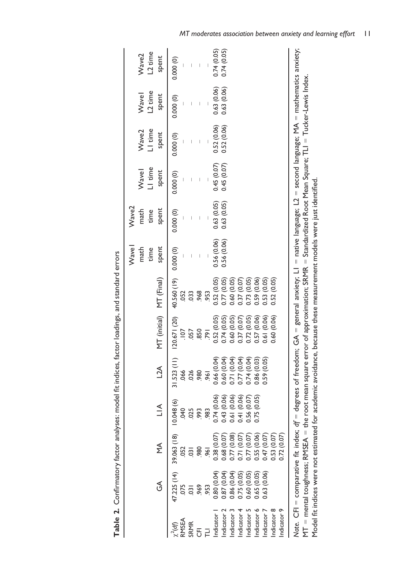|             | E                          | N<br>M                                                                         | $\leq$                                                                                                                                                  | $L^2$           | MT (initial) MT (Final)       |                               | Wavel<br>spent<br>math<br>time | Wave2<br>spent<br>math<br>time | LI time<br>Wavel<br>spent      | LI time<br>Wave2<br>spent | L <sub>2</sub> time<br>Wavel<br>spent | L <sub>2</sub> time<br>Wave2<br>spent |
|-------------|----------------------------|--------------------------------------------------------------------------------|---------------------------------------------------------------------------------------------------------------------------------------------------------|-----------------|-------------------------------|-------------------------------|--------------------------------|--------------------------------|--------------------------------|---------------------------|---------------------------------------|---------------------------------------|
| RMSEA       | 47.225 (14) 39.063 (18)    |                                                                                | 0.048(6)<br>$0+0$                                                                                                                                       | .066            | 31.523 (11) 120.671 (20)<br>Ξ | 40.560 (19) 0.000 (0)<br>.052 |                                | 0.000 (0)                      | 0.000(0)                       | 0.000 (0)                 | 0.000(0)                              | 0.000(0)                              |
| SRMR        |                            | 052<br>031                                                                     | 025                                                                                                                                                     | 026             | .057                          | .033                          | $\mid$                         |                                | $\begin{array}{c} \end{array}$ | $\mid$                    | $\begin{array}{c} \end{array}$        | $\mid$                                |
|             | ,969                       | 980                                                                            | .993                                                                                                                                                    | 980             | 850                           | 968                           |                                |                                | $\begin{array}{c} \end{array}$ |                           | $\mid$                                | $\begin{array}{c} \end{array}$        |
|             | 953                        | 961                                                                            | .983                                                                                                                                                    | $\overline{56}$ | $\bar{5}$                     | 953                           |                                |                                |                                |                           |                                       |                                       |
| ndicator    | 0.80(0.04)                 | 0.07                                                                           | 0.74(0.06)                                                                                                                                              | 0.66 (0.04)     | 0.52(0.05)                    | 0.52(0.05)                    | 0.56 (0.06)                    | 0.63(0.05)                     | 0.45(0.07)                     | 0.52(0.06)                | 0.63 (0.06)                           | 0.74(0.05)                            |
| ndicator 2  | 0.87(0.04)                 | 1.68 (0.07                                                                     | 0.43(0.06)                                                                                                                                              | 0.60(0.04)      | 0.74(0.05)                    | 0.77(0.05)                    | 0.56(0.06)                     | 0.63(0.05)                     | 0.45(0.07)                     | 0.52(0.06)                | 0.63(0.06)                            | 0.74(0.05)                            |
| ndicator 3  |                            | 0.77 (0.08)                                                                    | 0.61 (0.06)                                                                                                                                             | 0.71 (0.04)     | 0.60 (0.05)                   | 0.60(0.05)                    |                                |                                |                                |                           |                                       |                                       |
| Indicator 4 | 0.86 (0.04)<br>0.75 (0.05) | (0.07)                                                                         | 0.41 (0.06)                                                                                                                                             | (0.04)<br>0.77( | (0.07)<br>0.37(               | 0.37 (0.07)                   |                                |                                |                                |                           |                                       |                                       |
| Indicator 5 |                            |                                                                                | 0.56(0.07)                                                                                                                                              | 0.74(0.04)      | 0.72 (0.05)                   | 0.73 (0.05)                   |                                |                                |                                |                           |                                       |                                       |
| Indicator 6 | 0.60 (0.05)<br>0.65 (0.05) | $\begin{array}{c} 0.77 \ (0.07) \\ 0.55 \ (0.06) \\ 0.47 \ (0.07) \end{array}$ | 0.75(0.05)                                                                                                                                              | 0.86(0.03)      | (0.06)<br>0.57 <sub>1</sub>   | 0.59 (0.06)                   |                                |                                |                                |                           |                                       |                                       |
| Indicator 7 | 0.63 (0.06)                |                                                                                |                                                                                                                                                         | 0.59 (0.05)     | (0.06)<br>0.61                | 0.53(0.05)                    |                                |                                |                                |                           |                                       |                                       |
| Indicator 8 |                            | 0.53(0.07)                                                                     |                                                                                                                                                         |                 | 0.60 (0.06)                   | 0.52(0.05)                    |                                |                                |                                |                           |                                       |                                       |
| Indicator 9 |                            | 0.72(0.07)                                                                     |                                                                                                                                                         |                 |                               |                               |                                |                                |                                |                           |                                       |                                       |
|             |                            |                                                                                | Note. CFI = comparative fit index; df = degrees of freedom; GA = general anxiety; L1 = native language; L2 = second language; MA = mathematics anxiety; |                 |                               |                               |                                |                                |                                |                           |                                       |                                       |
|             |                            |                                                                                | MT = mental toughness; RMSEA = the root mean square error of approximation; SRMR = Standardized Root Mean Square; TLI = Tucker-Lewis Index.             |                 |                               |                               |                                |                                |                                |                           |                                       |                                       |

Table 2. Confirmatory factor analyses: model fit indices, factor loadings, and standard errors **Table 2.** Confirmatory factor analyses: model fit indices, factor loadings, and standard errors Model fit indices were not estimated for academic avoidance, because these measurement models were just identified.

Model fit indices were not estimated for academic avoidance, because these measurement models were just identified.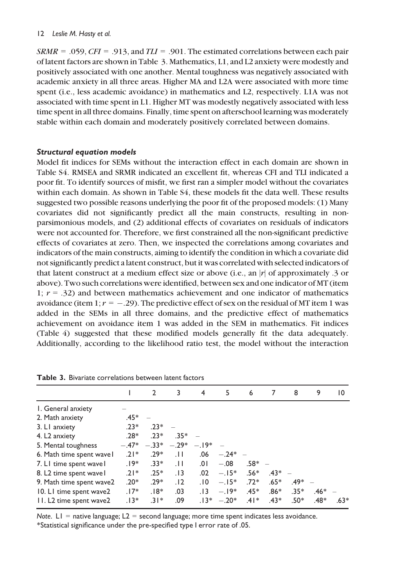$SRMR = .059$ ,  $CFI = .913$ , and  $TLI = .901$ . The estimated correlations between each pair of latent factors are shown in Table 3. Mathematics, L1, and L2 anxiety were modestly and positively associated with one another. Mental toughness was negatively associated with academic anxiety in all three areas. Higher MA and L2A were associated with more time spent (i.e., less academic avoidance) in mathematics and L2, respectively. L1A was not associated with time spent in L1. Higher MT was modestly negatively associated with less time spent in all three domains. Finally, time spent on afterschool learning was moderately stable within each domain and moderately positively correlated between domains.

# Structural equation models

Model fit indices for SEMs without the interaction effect in each domain are shown in Table S4. RMSEA and SRMR indicated an excellent fit, whereas CFI and TLI indicated a poor fit. To identify sources of misfit, we first ran a simpler model without the covariates within each domain. As shown in Table S4, these models fit the data well. These results suggested two possible reasons underlying the poor fit of the proposed models: (1) Many covariates did not significantly predict all the main constructs, resulting in nonparsimonious models, and (2) additional effects of covariates on residuals of indicators were not accounted for. Therefore, we first constrained all the non-significant predictive effects of covariates at zero. Then, we inspected the correlations among covariates and indicators of the main constructs, aiming to identify the condition in which a covariate did not significantly predict a latent construct, but it was correlated with selected indicators of that latent construct at a medium effect size or above (i.e., an |r| of approximately .3 or above). Two such correlations were identified, between sex and one indicator of MT (item 1;  $r = .32$ ) and between mathematics achievement and one indicator of mathematics avoidance (item 1;  $r = -.29$ ). The predictive effect of sex on the residual of MT item 1 was added in the SEMs in all three domains, and the predictive effect of mathematics achievement on avoidance item 1 was added in the SEM in mathematics. Fit indices (Table 4) suggested that these modified models generally fit the data adequately. Additionally, according to the likelihood ratio test, the model without the interaction

|                           |         | $\overline{2}$ | 3                 | 4       | 5         | 6        | 7        | 8        | 9      | $\overline{10}$ |
|---------------------------|---------|----------------|-------------------|---------|-----------|----------|----------|----------|--------|-----------------|
| I. General anxiety        |         |                |                   |         |           |          |          |          |        |                 |
| 2. Math anxiety           | .45*    |                |                   |         |           |          |          |          |        |                 |
| 3. LI anxiety             | $.23*$  | $.23*$         |                   |         |           |          |          |          |        |                 |
| 4. L <sub>2</sub> anxiety | $.28*$  | $23*$          | $.35*$            |         |           |          |          |          |        |                 |
| 5. Mental toughness       | $-.47*$ |                | $-.33^*$ $-.29^*$ | $-.19*$ |           |          |          |          |        |                 |
| 6. Math time spent wavel  | $21*$   | $.29*$         | $\overline{11}$   | .06     | $-.24* -$ |          |          |          |        |                 |
| 7. LI time spent wavel    | $.19*$  | $.33*$         | $\overline{11}$   | .01     | $-.08$    | $.58* -$ |          |          |        |                 |
| 8. L2 time spent wavel    | $.21*$  | $.25*$         | .13               | .02     | $-.15*$   | $.56*$   | $.43* -$ |          |        |                 |
| 9. Math time spent wave2  | $.20*$  | $.29*$         | .12               | .10     | $-.15*$   | $.72*$   | $.65*$   | $.49* -$ |        |                 |
| 10. LI time spent wave2   | $.17*$  | $.18*$         | .03               | .13     | $-.19*$   | $.45*$   | $.86*$   | $.35*$   | $.46*$ |                 |
| 11. L2 time spent wave2   | $.13*$  | $.31*$         | .09               | $.13*$  | $-.20*$   | $.41*$   | $.43*$   | $.50*$   | .48*   | $.63*$          |

Table 3. Bivariate correlations between latent factors

Note.  $LI =$  native language;  $L2 =$  second language; more time spent indicates less avoidance. \*Statistical significance under the pre-specified type I error rate of .05.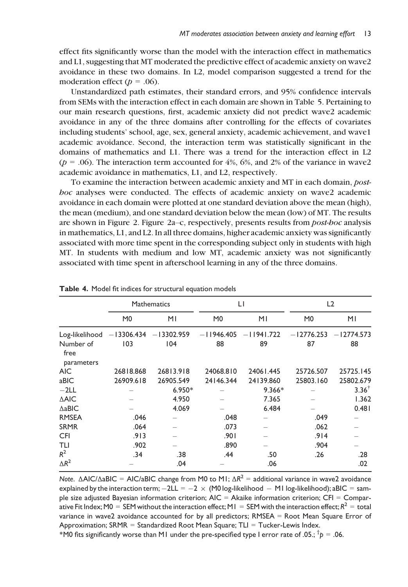effect fits significantly worse than the model with the interaction effect in mathematics and L1, suggesting that MT moderated the predictive effect of academic anxiety on wave2 avoidance in these two domains. In L2, model comparison suggested a trend for the moderation effect ( $p = .06$ ).

Unstandardized path estimates, their standard errors, and 95% confidence intervals from SEMs with the interaction effect in each domain are shown in Table 5. Pertaining to our main research questions, first, academic anxiety did not predict wave2 academic avoidance in any of the three domains after controlling for the effects of covariates including students' school, age, sex, general anxiety, academic achievement, and wave1 academic avoidance. Second, the interaction term was statistically significant in the domains of mathematics and L1. There was a trend for the interaction effect in L2  $(p = .06)$ . The interaction term accounted for 4%, 6%, and 2% of the variance in wave2 academic avoidance in mathematics, L1, and L2, respectively.

To examine the interaction between academic anxiety and MT in each domain, posthoc analyses were conducted. The effects of academic anxiety on wave2 academic avoidance in each domain were plotted at one standard deviation above the mean (high), the mean (medium), and one standard deviation below the mean (low) of MT. The results are shown in Figure 2. Figure 2a–c, respectively, presents results from post-hoc analysis in mathematics, L1, and L2. In all three domains, higher academic anxiety was significantly associated with more time spent in the corresponding subject only in students with high MT. In students with medium and low MT, academic anxiety was not significantly associated with time spent in afterschool learning in any of the three domains.

|                   |                         | <b>Mathematics</b> |                | LI           |                | L2               |
|-------------------|-------------------------|--------------------|----------------|--------------|----------------|------------------|
|                   | M <sub>0</sub>          | MΙ                 | M <sub>0</sub> | MΙ           | M <sub>0</sub> | MΙ               |
| Log-likelihood    | $-13306.434 -13302.959$ |                    | $-11946.405$   | $-11941.722$ | $-12776.253$   | $-12774.573$     |
| Number of<br>free | 103                     | 104                | 88             | 89           | 87             | 88               |
| parameters        |                         |                    |                |              |                |                  |
| <b>AIC</b>        | 26818.868               | 26813.918          | 24068.810      | 24061.445    | 25726.507      | 25725.145        |
| aBIC              | 26909.618               | 26905.549          | 24146.344      | 24139.860    | 25803.160      | 25802.679        |
| $-2LL$            |                         | $6.950*$           |                | $9.366*$     |                | $3.36^{\dagger}$ |
| <b>AAIC</b>       |                         | 4.950              |                | 7.365        |                | 1.362            |
| $\triangle$ aBIC  |                         | 4.069              |                | 6.484        |                | 0.481            |
| <b>RMSEA</b>      | .046                    |                    | .048           |              | .049           |                  |
| <b>SRMR</b>       | .064                    |                    | .073           |              | .062           |                  |
| <b>CFI</b>        | .913                    |                    | .901           |              | .914           |                  |
| TLI               | .902                    |                    | .890           |              | .904           |                  |
| $R^2$             | .34                     | .38                | .44            | .50          | .26            | .28              |
| $\Delta R^2$      |                         | .04                |                | .06          |                | .02              |

Note. ΔAIC/ΔaBIC = AIC/aBIC change from M0 to M1;  $\Delta R^2$  = additional variance in wave2 avoidance explained by the interaction term;  $-2L = -2 \times (M0 \log{-}$  likelihood  $- M1 \log{-}$  likelihood); aBIC = sample size adjusted Bayesian information criterion; AIC = Akaike information criterion; CFI = Comparative Fit Index; M0 = SEM without the interaction effect; M1 = SEM with the interaction effect;  $R^2$  = total variance in wave2 avoidance accounted for by all predictors; RMSEA = Root Mean Square Error of Approximation;  $SRMR = Standardized Root Mean Square$ ; TLI = Tucker-Lewis Index.

 $*$ M0 fits significantly worse than M1 under the pre-specified type I error rate of .05.;  $^\dagger p =$  .06.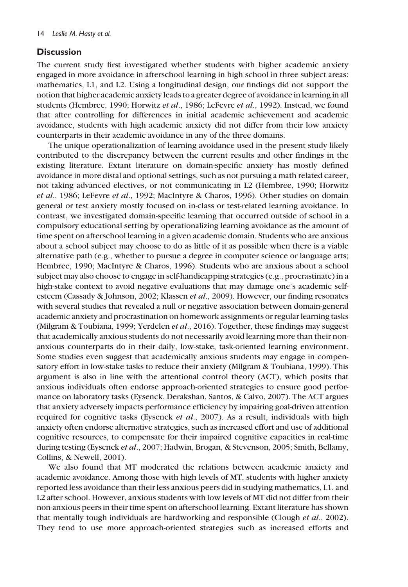# **Discussion**

The current study first investigated whether students with higher academic anxiety engaged in more avoidance in afterschool learning in high school in three subject areas: mathematics, L1, and L2. Using a longitudinal design, our findings did not support the notion that higher academic anxiety leads to a greater degree of avoidance in learning in all students (Hembree, 1990; Horwitz et al., 1986; LeFevre et al., 1992). Instead, we found that after controlling for differences in initial academic achievement and academic avoidance, students with high academic anxiety did not differ from their low anxiety counterparts in their academic avoidance in any of the three domains.

The unique operationalization of learning avoidance used in the present study likely contributed to the discrepancy between the current results and other findings in the existing literature. Extant literature on domain-specific anxiety has mostly defined avoidance in more distal and optional settings, such as not pursuing a math related career, not taking advanced electives, or not communicating in L2 (Hembree, 1990; Horwitz et al., 1986; LeFevre et al., 1992; MacIntyre & Charos, 1996). Other studies on domain general or test anxiety mostly focused on in-class or test-related learning avoidance. In contrast, we investigated domain-specific learning that occurred outside of school in a compulsory educational setting by operationalizing learning avoidance as the amount of time spent on afterschool learning in a given academic domain. Students who are anxious about a school subject may choose to do as little of it as possible when there is a viable alternative path (e.g., whether to pursue a degree in computer science or language arts; Hembree, 1990; MacIntyre & Charos, 1996). Students who are anxious about a school subject may also choose to engage in self-handicapping strategies (e.g., procrastinate) in a high-stake context to avoid negative evaluations that may damage one's academic selfesteem (Cassady & Johnson, 2002; Klassen et al., 2009). However, our finding resonates with several studies that revealed a null or negative association between domain-general academic anxiety and procrastination on homework assignments or regular learning tasks (Milgram & Toubiana, 1999; Yerdelen et al., 2016). Together, these findings may suggest that academically anxious students do not necessarily avoid learning more than their nonanxious counterparts do in their daily, low-stake, task-oriented learning environment. Some studies even suggest that academically anxious students may engage in compensatory effort in low-stake tasks to reduce their anxiety (Milgram & Toubiana, 1999). This argument is also in line with the attentional control theory (ACT), which posits that anxious individuals often endorse approach-oriented strategies to ensure good performance on laboratory tasks (Eysenck, Derakshan, Santos, & Calvo, 2007). The ACT argues that anxiety adversely impacts performance efficiency by impairing goal-driven attention required for cognitive tasks (Eysenck et al., 2007). As a result, individuals with high anxiety often endorse alternative strategies, such as increased effort and use of additional cognitive resources, to compensate for their impaired cognitive capacities in real-time during testing (Eysenck et al., 2007; Hadwin, Brogan, & Stevenson, 2005; Smith, Bellamy, Collins, & Newell, 2001).

We also found that MT moderated the relations between academic anxiety and academic avoidance. Among those with high levels of MT, students with higher anxiety reported less avoidance than their less anxious peers did in studying mathematics, L1, and L2 after school. However, anxious students with low levels of MT did not differ from their non-anxious peers in their time spent on afterschool learning. Extant literature has shown that mentally tough individuals are hardworking and responsible (Clough et al., 2002). They tend to use more approach-oriented strategies such as increased efforts and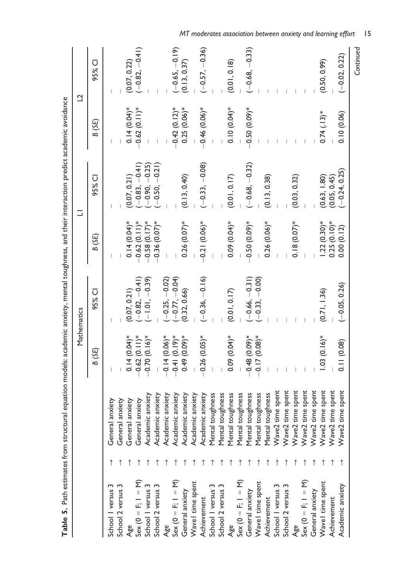| Table 5. Path estimates from struct |                           |                 |                                      |                 | ural equation models: academic anxiety, mental toughness, and their interaction predict academic avoidance |                 |                         |
|-------------------------------------|---------------------------|-----------------|--------------------------------------|-----------------|------------------------------------------------------------------------------------------------------------|-----------------|-------------------------|
|                                     |                           |                 | Mathematics                          |                 | Ξ                                                                                                          |                 | $\overline{\mathbf{C}}$ |
|                                     |                           | B (SE)          | 95% CI                               | B (SE)          | 95% CI                                                                                                     | B (SE)          | 95% CI                  |
| School I versus 3                   | General anxiety           |                 |                                      |                 |                                                                                                            |                 |                         |
| School 2 versus 3                   | General anxiety           |                 |                                      |                 |                                                                                                            |                 |                         |
| Age                                 | General anxiety           | $0.14(0.04)$ *  | (0.07, 0.21)                         | $0.14(0.04)$ *  | (0.07, 0.21)                                                                                               | $0.14(0.04)$ *  | (0.07, 0.22)            |
| $Sex(0 = F, 1 = M)$                 | General anxiety           | $-0.62(0.11)*$  | $(-0.82, -0.41)$                     | $-0.62(0.11)^*$ | $-0.83, -0.41$                                                                                             | $0.62(0.11)*$   | $(-0.82, -0.41)$        |
| School I versus 3                   | Academic anxiety          | $-0.70(0.16)$ * | $(-1.01,-0.39)$                      | $-0.58(0.17)$ * | $-0.90, -0.25$                                                                                             |                 |                         |
| School 2 versus                     | Academic anxiety          |                 |                                      | $-0.36(0.07)$ * | $(-0.50, -0.21)$                                                                                           |                 |                         |
| Age                                 | Academic anxiety          | $-0.14(0.06)$ * | $(-0.25, -0.02)$                     |                 |                                                                                                            |                 |                         |
| $Sex (0 = F; 1 = M)$                | Academic anxiety          | $-0.41(0.19)$ * | $(-0.77, -0.04)$                     |                 |                                                                                                            | $-0.42(0.12)$ * | $(-0.65, -0.19)$        |
| General anxiety                     | Academic anxiety          | $0.49(0.09)*$   | (0.32, 0.66)                         | $0.26(0.07)$ *  | (0.13, 0.40)                                                                                               | $0.25(0.06)$ *  | (0.13, 0.37)            |
| Wavel time spent                    | Academic anxiety          |                 |                                      |                 |                                                                                                            |                 |                         |
| Achievement                         | Academic anxiety          | $-0.26(0.05)$ * | $(-0.36, -0.16)$                     | $-0.21(0.06)*$  | $(-0.33, -0.08)$                                                                                           | $-0.46(0.06)*$  | $(-0.57, -0.36)$        |
| School I versus 3                   | toughness<br>Mental       |                 |                                      |                 |                                                                                                            |                 |                         |
| School 2 versus 3                   | toughness<br>Mental       |                 |                                      |                 |                                                                                                            |                 |                         |
| Age                                 | toughness<br>Mental       | $0.09(0.04)$ *  | (0.01, 0.17)                         | $0.09(0.04)$ *  | (0.01, 0.17)                                                                                               | $0.10(0.04)$ *  | (0.01, 0.18)            |
| $Sex (0 = F; 1 = M)$                | toughness<br>Mental       |                 |                                      |                 |                                                                                                            |                 |                         |
| General anxiety                     | toughness<br>Mental       | $-0.48(0.09)*$  | $(-0.66, -0.31)$<br>$(-0.33, -0.00)$ | $-0.50(0.09)$ * | $(-0.68, -0.32)$                                                                                           | $-0.50(0.09)*$  | $(-0.68, -0.33)$        |
| Wavel time spent                    | toughness<br>Mental       | $-0.17(0.08)*$  |                                      |                 |                                                                                                            |                 |                         |
| Achievement                         | toughness<br>Mental       |                 |                                      | $0.26(0.06)$ *  | (0.13, 0.38)                                                                                               |                 |                         |
| School I versus 3                   | time spent<br>Wave2       |                 |                                      |                 |                                                                                                            |                 |                         |
| School 2 versus 3                   | time spent<br>Wave2       |                 |                                      |                 |                                                                                                            |                 |                         |
| Age                                 | Wave2 time spent          |                 |                                      | $0.18(0.07)$ *  | (0.03, 0.32)                                                                                               |                 |                         |
| $Sex (0 = F; 1 = M)$                | Wave2 time spent          |                 |                                      |                 |                                                                                                            |                 |                         |
| General anxiety                     | Wave2 time spent          |                 |                                      |                 |                                                                                                            |                 |                         |
| Wavel time spent                    | Wave2 time spent          | $1.03(0.16)$ *  | (0.71, 1.36)                         | $1.22(0.30)$ *  | (0.63, 1.80)                                                                                               | $0.74(.13)*$    | (0.50, 0.99)            |
| Achievement                         | time spent<br>Wave2       |                 |                                      | $0.25(0.10)$ *  | (0.05, 0.45)                                                                                               |                 |                         |
| Academic anxiety                    | time spent<br>$W$ ave $2$ | 0.11(0.08)      | $(-0.05, 0.26)$                      | 0.00(0.12)      | $-0.24, 0.25$                                                                                              | 0.10(0.06)      | $(-0.02, 0.22)$         |
|                                     |                           |                 |                                      |                 |                                                                                                            |                 | Continued               |

Table 5. Path estimates from structural equation models: academic anxiety, mental toughness, and their interaction predict academic avoidance cadomic  $\frac{1}{2}$  $\frac{1}{4}$  $\overline{\phantom{a}}$  $\ddot{\ddot{\cdot}}$ and those into  $\overline{a}$  $n+1+n$ adamic Ĺ,  $P_{n+h}$ ú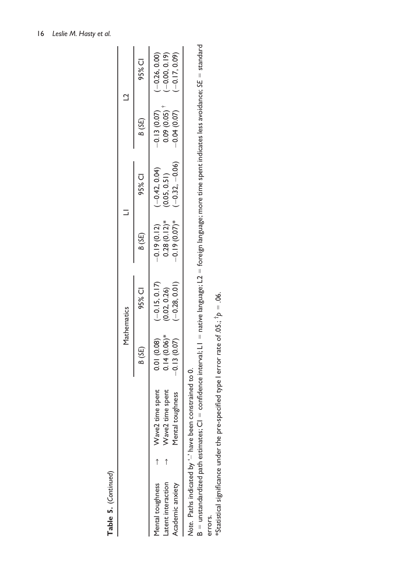Table 5. (Continued) Table 5. (Continued)

|                                                                    |                                                                                          |                                                 | Mathematics                                    |                                                   |                                                    |                                              | ₫                                                   |
|--------------------------------------------------------------------|------------------------------------------------------------------------------------------|-------------------------------------------------|------------------------------------------------|---------------------------------------------------|----------------------------------------------------|----------------------------------------------|-----------------------------------------------------|
|                                                                    |                                                                                          | B (SE)                                          | 95% CI                                         | B (SE)                                            | 95% CI                                             | B (SE)                                       | 95% CI                                              |
| -atent interaction<br>Academic anxiety<br><b>1</b> ental toughness | time spent<br>time spent<br>Mental toughness<br>$\rightarrow$ Wave2<br>Wave <sub>2</sub> | $0.01(0.08)$<br>$0.14(0.06)$ *<br>$-0.13(0.07)$ | $(-0.15, 0.17)$<br>$-0.28, 0.01$<br>0.02, 0.26 | $-0.19(0.07)$ *<br>$0.28(0.12)*$<br>$-0.19(0.12)$ | $(-0.32, -0.06)$<br>$(-0.42, 0.04)$<br>0.05, 0.51) | 0.09(0.05)<br>$-0.13(0.07)$<br>$-0.04(0.07)$ | $(-0.26, 0.00)$<br>$(-0.00, 0.19)$<br>$-0.17, 0.09$ |
| Note. Paths indicated by '-' have been                             | constrained to 0.                                                                        |                                                 |                                                |                                                   |                                                    |                                              |                                                     |

Note. Paths indicated by '–' have been constrained to 0.

 $B$  = unstandardized path estimates;  $Cl$  = confidence interval;  $LI$  = native language;  $L2$  = foreign language; more time spent indicates less avoidance;  $SE$  = standard  $B$  = unstandardized path estimates;  ${\sf Cl}$  = confidence interval;  ${\sf L}1$  = native language;  ${\sf L}2$  = foreign language; more time spent indicates less avoidance;  $5E$  = standard errors. errors.

\*Statistical significance under the pre-specified type I error rate of .05:,  $\dagger$ p = .06. \*Statistical significance under the pre-specified type I error rate of .05.;  $^{\dagger}p = .06$ .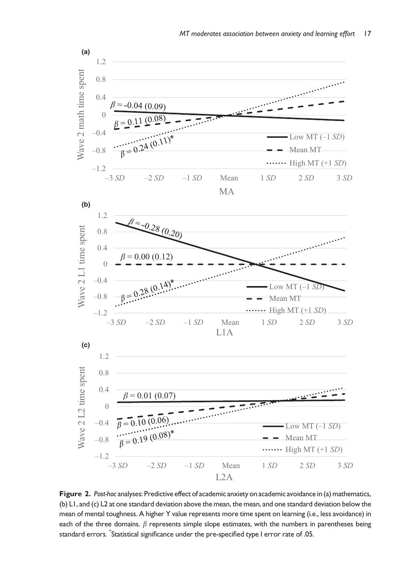

Figure 2. Post-hoc analyses: Predictive effect of academic anxiety on academic avoidance in (a) mathematics, (b) L1, and (c) L2 at one standard deviation above the mean, the mean, and one standard deviation below the mean of mental toughness. A higher Y value represents more time spent on learning (i.e., less avoidance) in each of the three domains.  $\beta$  represents simple slope estimates, with the numbers in parentheses being standard errors. \* Statistical significance under the pre-specified type I error rate of .05.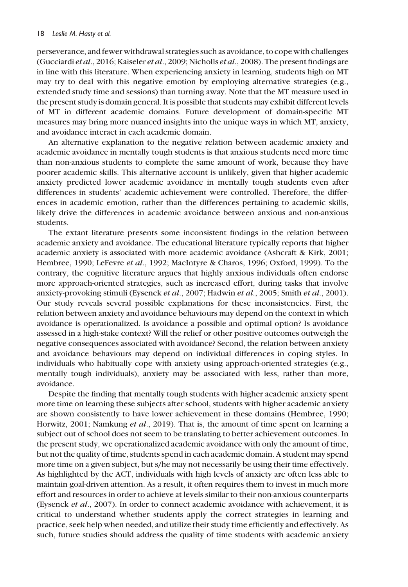perseverance, and fewer withdrawal strategies such as avoidance, to cope with challenges (Gucciardi et al., 2016; Kaiseler et al., 2009; Nicholls et al., 2008). The present findings are in line with this literature. When experiencing anxiety in learning, students high on MT may try to deal with this negative emotion by employing alternative strategies (e.g., extended study time and sessions) than turning away. Note that the MT measure used in the present study is domain general. It is possible that students may exhibit different levels of MT in different academic domains. Future development of domain-specific MT measures may bring more nuanced insights into the unique ways in which MT, anxiety, and avoidance interact in each academic domain.

An alternative explanation to the negative relation between academic anxiety and academic avoidance in mentally tough students is that anxious students need more time than non-anxious students to complete the same amount of work, because they have poorer academic skills. This alternative account is unlikely, given that higher academic anxiety predicted lower academic avoidance in mentally tough students even after differences in students' academic achievement were controlled. Therefore, the differences in academic emotion, rather than the differences pertaining to academic skills, likely drive the differences in academic avoidance between anxious and non-anxious students.

The extant literature presents some inconsistent findings in the relation between academic anxiety and avoidance. The educational literature typically reports that higher academic anxiety is associated with more academic avoidance (Ashcraft & Kirk, 2001; Hembree, 1990; LeFevre et al., 1992; MacIntyre & Charos, 1996; Oxford, 1999). To the contrary, the cognitive literature argues that highly anxious individuals often endorse more approach-oriented strategies, such as increased effort, during tasks that involve anxiety-provoking stimuli (Eysenck et al., 2007; Hadwin et al., 2005; Smith et al., 2001). Our study reveals several possible explanations for these inconsistencies. First, the relation between anxiety and avoidance behaviours may depend on the context in which avoidance is operationalized. Is avoidance a possible and optimal option? Is avoidance assessed in a high-stake context? Will the relief or other positive outcomes outweigh the negative consequences associated with avoidance? Second, the relation between anxiety and avoidance behaviours may depend on individual differences in coping styles. In individuals who habitually cope with anxiety using approach-oriented strategies (e.g., mentally tough individuals), anxiety may be associated with less, rather than more, avoidance.

Despite the finding that mentally tough students with higher academic anxiety spent more time on learning these subjects after school, students with higher academic anxiety are shown consistently to have lower achievement in these domains (Hembree, 1990; Horwitz, 2001; Namkung et al., 2019). That is, the amount of time spent on learning a subject out of school does not seem to be translating to better achievement outcomes. In the present study, we operationalized academic avoidance with only the amount of time, but not the quality of time, students spend in each academic domain. A student may spend more time on a given subject, but s/he may not necessarily be using their time effectively. As highlighted by the ACT, individuals with high levels of anxiety are often less able to maintain goal-driven attention. As a result, it often requires them to invest in much more effort and resources in order to achieve at levels similar to their non-anxious counterparts (Eysenck et al., 2007). In order to connect academic avoidance with achievement, it is critical to understand whether students apply the correct strategies in learning and practice, seek help when needed, and utilize their study time efficiently and effectively. As such, future studies should address the quality of time students with academic anxiety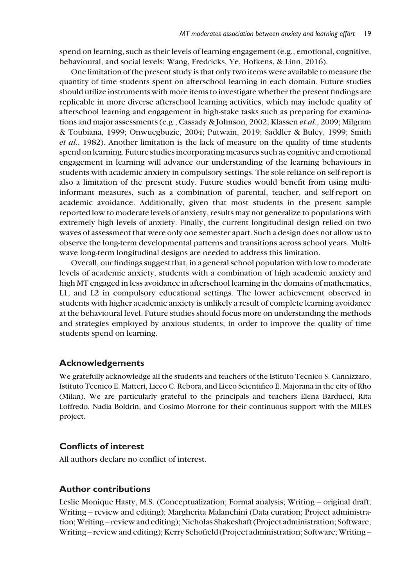spend on learning, such as their levels of learning engagement (e.g., emotional, cognitive, behavioural, and social levels; Wang, Fredricks, Ye, Hofkens, & Linn, 2016).

One limitation of the present study is that only two items were available to measure the quantity of time students spent on afterschool learning in each domain. Future studies should utilize instruments with more items to investigate whether the present findings are replicable in more diverse afterschool learning activities, which may include quality of afterschool learning and engagement in high-stake tasks such as preparing for examinations and major assessments (e.g., Cassady & Johnson, 2002; Klassen *et al.*, 2009; Milgram & Toubiana, 1999; Onwuegbuzie, 2004; Putwain, 2019; Saddler & Buley, 1999; Smith et al., 1982). Another limitation is the lack of measure on the quality of time students spend on learning. Future studies incorporating measures such as cognitive and emotional engagement in learning will advance our understanding of the learning behaviours in students with academic anxiety in compulsory settings. The sole reliance on self-report is also a limitation of the present study. Future studies would benefit from using multiinformant measures, such as a combination of parental, teacher, and self-report on academic avoidance. Additionally, given that most students in the present sample reported low to moderate levels of anxiety, results may not generalize to populations with extremely high levels of anxiety. Finally, the current longitudinal design relied on two waves of assessment that were only one semester apart. Such a design does not allow us to observe the long-term developmental patterns and transitions across school years. Multiwave long-term longitudinal designs are needed to address this limitation.

Overall, our findings suggest that, in a general school population with low to moderate levels of academic anxiety, students with a combination of high academic anxiety and high MT engaged in less avoidance in afterschool learning in the domains of mathematics, L1, and L2 in compulsory educational settings. The lower achievement observed in students with higher academic anxiety is unlikely a result of complete learning avoidance at the behavioural level. Future studies should focus more on understanding the methods and strategies employed by anxious students, in order to improve the quality of time students spend on learning.

# Acknowledgements

We gratefully acknowledge all the students and teachers of the Istituto Tecnico S. Cannizzaro, Istituto Tecnico E. Matteri, Liceo C. Rebora, and Liceo Scientifico E. Majorana in the city of Rho (Milan). We are particularly grateful to the principals and teachers Elena Barducci, Rita Loffredo, Nadia Boldrin, and Cosimo Morrone for their continuous support with the MILES project.

# Conflicts of interest

All authors declare no conflict of interest.

# Author contributions

Leslie Monique Hasty, M.S. (Conceptualization; Formal analysis; Writing – original draft; Writing – review and editing); Margherita Malanchini (Data curation; Project administration; Writing – review and editing); Nicholas Shakeshaft (Project administration; Software; Writing – review and editing); Kerry Schofield (Project administration; Software; Writing –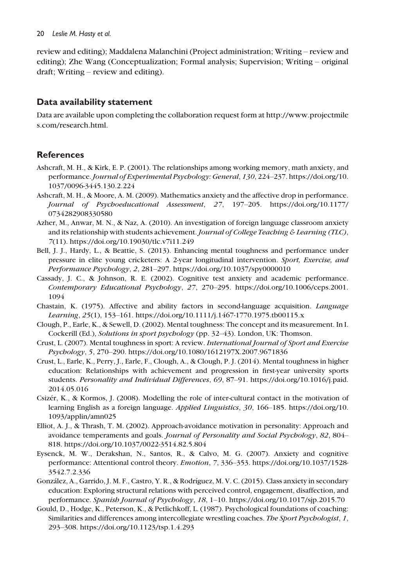review and editing); Maddalena Malanchini (Project administration; Writing – review and editing); Zhe Wang (Conceptualization; Formal analysis; Supervision; Writing – original draft; Writing – review and editing).

# Data availability statement

Data are available upon completing the collaboration request form at [http://www.projectmile](http://www.projectmiles.com/research.html) [s.com/research.html](http://www.projectmiles.com/research.html).

# **References**

- Ashcraft, M. H., & Kirk, E. P. (2001). The relationships among working memory, math anxiety, and performance.Journal of Experimental Psychology: General, 130, 224–237. [https://doi.org/10.](https://doi.org/10.1037/0096-3445.130.2.224) [1037/0096-3445.130.2.224](https://doi.org/10.1037/0096-3445.130.2.224)
- Ashcraft, M. H., & Moore, A. M. (2009). Mathematics anxiety and the affective drop in performance. Journal of Psychoeducational Assessment, 27, 197–205. [https://doi.org/10.1177/](https://doi.org/10.1177/0734282908330580) [0734282908330580](https://doi.org/10.1177/0734282908330580)
- Azher, M., Anwar, M. N., & Naz, A. (2010). An investigation of foreign language classroom anxiety and its relationship with students achievement. Journal of College Teaching  $\epsilon$  Learning (TLC), 7(11).<https://doi.org/10.19030/tlc.v7i11.249>
- Bell, J. J., Hardy, L., & Beattie, S. (2013). Enhancing mental toughness and performance under pressure in elite young cricketers: A 2-year longitudinal intervention. Sport, Exercise, and Performance Psychology, 2, 281–297.<https://doi.org/10.1037/spy0000010>
- Cassady, J. C., & Johnson, R. E. (2002). Cognitive test anxiety and academic performance. Contemporary Educational Psychology, 27, 270–295. [https://doi.org/10.1006/ceps.2001.](https://doi.org/10.1006/ceps.2001.1094) [1094](https://doi.org/10.1006/ceps.2001.1094)
- Chastain, K. (1975). Affective and ability factors in second-language acquisition. Language Learning, 25(1), 153–161.<https://doi.org/10.1111/j.1467-1770.1975.tb00115.x>
- Clough, P., Earle, K., & Sewell, D. (2002). Mental toughness: The concept and its measurement. In I. Cockerill (Ed.), Solutions in sport psychology (pp. 32–43). London, UK: Thomson.
- Crust, L. (2007). Mental toughness in sport: A review. International Journal of Sport and Exercise Psychology, 5, 270–290.<https://doi.org/10.1080/1612197X.2007.9671836>
- Crust, L., Earle, K., Perry, J., Earle, F., Clough, A., & Clough, P. J. (2014). Mental toughness in higher education: Relationships with achievement and progression in first-year university sports students. Personality and Individual Differences, 69, 87–91. [https://doi.org/10.1016/j.paid.](https://doi.org/10.1016/j.paid.2014.05.016) [2014.05.016](https://doi.org/10.1016/j.paid.2014.05.016)
- Csizer, K., & Kormos, J. (2008). Modelling the role of inter-cultural contact in the motivation of learning English as a foreign language. Applied Linguistics, 30, 166–185. [https://doi.org/10.](https://doi.org/10.1093/applin/amn025) [1093/applin/amn025](https://doi.org/10.1093/applin/amn025)
- Elliot, A. J., & Thrash, T. M. (2002). Approach-avoidance motivation in personality: Approach and avoidance temperaments and goals. Journal of Personality and Social Psychology, 82, 804– 818.<https://doi.org/10.1037/0022-3514.82.5.804>
- Eysenck, M. W., Derakshan, N., Santos, R., & Calvo, M. G. (2007). Anxiety and cognitive performance: Attentional control theory. Emotion, 7, 336–353. [https://doi.org/10.1037/1528-](https://doi.org/10.1037/1528-3542.7.2.336) [3542.7.2.336](https://doi.org/10.1037/1528-3542.7.2.336)
- Gonzalez, A., Garrido, J. M. F., Castro, Y. R., & Rodrıguez, M. V. C. (2015). Class anxiety in secondary education: Exploring structural relations with perceived control, engagement, disaffection, and performance. Spanish Journal of Psychology, 18, 1–10.<https://doi.org/10.1017/sjp.2015.70>
- Gould, D., Hodge, K., Peterson, K., & Petlichkoff, L. (1987). Psychological foundations of coaching: Similarities and differences among intercollegiate wrestling coaches. The Sport Psychologist, 1, 293–308.<https://doi.org/10.1123/tsp.1.4.293>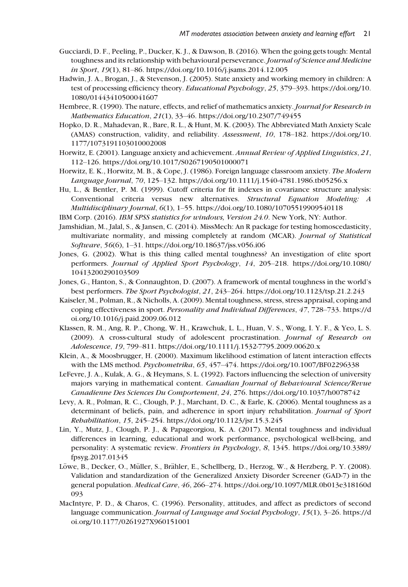- Gucciardi, D. F., Peeling, P., Ducker, K. J., & Dawson, B. (2016). When the going gets tough: Mental toughness and its relationship with behavioural perseverance. Journal of Science and Medicine in Sport, 19(1), 81–86.<https://doi.org/10.1016/j.jsams.2014.12.005>
- Hadwin, J. A., Brogan, J., & Stevenson, J. (2005). State anxiety and working memory in children: A test of processing efficiency theory. Educational Psychology, 25, 379–393. [https://doi.org/10.](https://doi.org/10.1080/01443410500041607) [1080/01443410500041607](https://doi.org/10.1080/01443410500041607)
- Hembree, R. (1990). The nature, effects, and relief of mathematics anxiety. Journal for Research in Mathematics Education, 21(1), 33–46.<https://doi.org/10.2307/749455>
- Hopko, D. R., Mahadevan, R., Bare, R. L., & Hunt, M. K. (2003). The Abbreviated Math Anxiety Scale (AMAS) construction, validity, and reliability. Assessment, 10, 178–182. [https://doi.org/10.](https://doi.org/10.1177/1073191103010002008) [1177/1073191103010002008](https://doi.org/10.1177/1073191103010002008)
- Horwitz, E. (2001). Language anxiety and achievement. Annual Review of Applied Linguistics, 21, 112–126.<https://doi.org/10.1017/S0267190501000071>
- Horwitz, E. K., Horwitz, M. B., & Cope, J. (1986). Foreign language classroom anxiety. The Modern Language Journal, 70, 125–132.<https://doi.org/10.1111/j.1540-4781.1986.tb05256.x>
- Hu, L., & Bentler, P. M. (1999). Cutoff criteria for fit indexes in covariance structure analysis: Conventional criteria versus new alternatives. Structural Equation Modeling: A Multidisciplinary Journal, 6(1), 1–55.<https://doi.org/10.1080/10705519909540118>
- IBM Corp. (2016). IBM SPSS statistics for windows, Version 24.0. New York, NY: Author.
- Jamshidian, M., Jalal, S., & Jansen, C. (2014). MissMech: An R package for testing homoscedasticity, multivariate normality, and missing completely at random (MCAR). Journal of Statistical Software, 56(6), 1–31.<https://doi.org/10.18637/jss.v056.i06>
- Jones, G. (2002). What is this thing called mental toughness? An investigation of elite sport performers. Journal of Applied Sport Psychology, 14, 205–218. [https://doi.org/10.1080/](https://doi.org/10.1080/10413200290103509) [10413200290103509](https://doi.org/10.1080/10413200290103509)
- Jones, G., Hanton, S., & Connaughton, D. (2007). A framework of mental toughness in the world's best performers. The Sport Psychologist, 21, 243–264.<https://doi.org/10.1123/tsp.21.2.243>
- Kaiseler, M., Polman, R., & Nicholls, A. (2009). Mental toughness, stress, stress appraisal, coping and coping effectiveness in sport. Personality and Individual Differences, 47, 728–733. [https://d](https://doi.org/10.1016/j.paid.2009.06.012) [oi.org/10.1016/j.paid.2009.06.012](https://doi.org/10.1016/j.paid.2009.06.012)
- Klassen, R. M., Ang, R. P., Chong, W. H., Krawchuk, L. L., Huan, V. S., Wong, I. Y. F., & Yeo, L. S. (2009). A cross-cultural study of adolescent procrastination. Journal of Research on Adolescence, 19, 799–811.<https://doi.org/10.1111/j.1532-7795.2009.00620.x>
- Klein, A., & Moosbrugger, H. (2000). Maximum likelihood estimation of latent interaction effects with the LMS method. Psychometrika, 65, 457–474.<https://doi.org/10.1007/BF02296338>
- LeFevre, J. A., Kulak, A. G., & Heymans, S. L. (1992). Factors influencing the selection of university majors varying in mathematical content. Canadian Journal of Behavioural Science/Revue Canadienne Des Sciences Du Comportement, 24, 276.<https://doi.org/10.1037/h0078742>
- Levy, A. R., Polman, R. C., Clough, P. J., Marchant, D. C., & Earle, K. (2006). Mental toughness as a determinant of beliefs, pain, and adherence in sport injury rehabilitation. Journal of Sport Rehabilitation, 15, 245–254.<https://doi.org/10.1123/jsr.15.3.245>
- Lin, Y., Mutz, J., Clough, P. J., & Papageorgiou, K. A. (2017). Mental toughness and individual differences in learning, educational and work performance, psychological well-being, and personality: A systematic review. Frontiers in Psychology, 8, 1345. [https://doi.org/10.3389/](https://doi.org/10.3389/fpsyg.2017.01345) [fpsyg.2017.01345](https://doi.org/10.3389/fpsyg.2017.01345)
- Löwe, B., Decker, O., Müller, S., Brähler, E., Schellberg, D., Herzog, W., & Herzberg, P. Y. (2008). Validation and standardization of the Generalized Anxiety Disorder Screener (GAD-7) in the general population. Medical Care, 46, 266–274. [https://doi.org/10.1097/MLR.0b013e318160d](https://doi.org/10.1097/MLR.0b013e318160d093) [093](https://doi.org/10.1097/MLR.0b013e318160d093)
- MacIntyre, P. D., & Charos, C. (1996). Personality, attitudes, and affect as predictors of second language communication. Journal of Language and Social Psychology, 15(1), 3–26. [https://d](https://doi.org/10.1177/0261927X960151001) [oi.org/10.1177/0261927X960151001](https://doi.org/10.1177/0261927X960151001)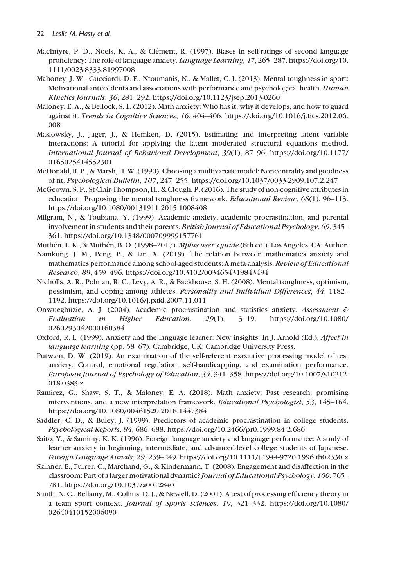- MacIntyre, P. D., Noels, K. A., & Clément, R. (1997). Biases in self-ratings of second language proficiency: The role of language anxiety. Language Learning, 47, 265–287. [https://doi.org/10.](https://doi.org/10.1111/0023-8333.81997008) [1111/0023-8333.81997008](https://doi.org/10.1111/0023-8333.81997008)
- Mahoney, J. W., Gucciardi, D. F., Ntoumanis, N., & Mallet, C. J. (2013). Mental toughness in sport: Motivational antecedents and associations with performance and psychological health. Human Kinetics Journals, 36, 281–292.<https://doi.org/10.1123/jsep.2013-0260>
- Maloney, E. A., & Beilock, S. L. (2012). Math anxiety: Who has it, why it develops, and how to guard against it. Trends in Cognitive Sciences, 16, 404–406. [https://doi.org/10.1016/j.tics.2012.06.](https://doi.org/10.1016/j.tics.2012.06.008) [008](https://doi.org/10.1016/j.tics.2012.06.008)
- Maslowsky, J., Jager, J., & Hemken, D. (2015). Estimating and interpreting latent variable interactions: A tutorial for applying the latent moderated structural equations method. International Journal of Behavioral Development, 39(1), 87–96. [https://doi.org/10.1177/](https://doi.org/10.1177/0165025414552301) [0165025414552301](https://doi.org/10.1177/0165025414552301)
- McDonald, R. P., & Marsh, H. W. (1990). Choosing a multivariate model: Noncentrality and goodness of fit. Psychological Bulletin, 107, 247–255.<https://doi.org/10.1037/0033-2909.107.2.247>
- McGeown, S. P., St Clair-Thompson, H., & Clough, P. (2016). The study of non-cognitive attributes in education: Proposing the mental toughness framework. *Educational Review*, 68(1), 96–113. <https://doi.org/10.1080/00131911.2015.1008408>
- Milgram, N., & Toubiana, Y. (1999). Academic anxiety, academic procrastination, and parental involvement in students and their parents. British Journal of Educational Psychology, 69, 345– 361.<https://doi.org/10.1348/000709999157761>
- Muthén, L. K., & Muthén, B. O. (1998–2017). *Mplus user's guide* (8th ed.). Los Angeles, CA: Author.
- Namkung, J. M., Peng, P., & Lin, X. (2019). The relation between mathematics anxiety and mathematics performance among school-aged students: A meta-analysis. Review of Educational Research, 89, 459–496.<https://doi.org/10.3102/0034654319843494>
- Nicholls, A. R., Polman, R. C., Levy, A. R., & Backhouse, S. H. (2008). Mental toughness, optimism, pessimism, and coping among athletes. Personality and Individual Differences, 44, 1182-1192.<https://doi.org/10.1016/j.paid.2007.11.011>
- Onwuegbuzie, A. J. (2004). Academic procrastination and statistics anxiety. Assessment & Evaluation in Higher Education, 29(1), 3–19. [https://doi.org/10.1080/](https://doi.org/10.1080/0260293042000160384) [0260293042000160384](https://doi.org/10.1080/0260293042000160384)
- Oxford, R. L. (1999). Anxiety and the language learner: New insights. In J. Arnold (Ed.), Affect in language learning (pp. 58–67). Cambridge, UK: Cambridge University Press.
- Putwain, D. W. (2019). An examination of the self-referent executive processing model of test anxiety: Control, emotional regulation, self-handicapping, and examination performance. European Journal of Psychology of Education, 34, 341–358. [https://doi.org/10.1007/s10212-](https://doi.org/10.1007/s10212-018-0383-z) [018-0383-z](https://doi.org/10.1007/s10212-018-0383-z)
- Ramirez, G., Shaw, S. T., & Maloney, E. A. (2018). Math anxiety: Past research, promising interventions, and a new interpretation framework. Educational Psychologist, 53, 145–164. <https://doi.org/10.1080/00461520.2018.1447384>
- Saddler, C. D., & Buley, J. (1999). Predictors of academic procrastination in college students. Psychological Reports, 84, 686–688.<https://doi.org/10.2466/pr0.1999.84.2.686>
- Saito, Y., & Samimy, K. K. (1996). Foreign language anxiety and language performance: A study of learner anxiety in beginning, intermediate, and advanced-level college students of Japanese. Foreign Language Annals, 29, 239–249.<https://doi.org/10.1111/j.1944-9720.1996.tb02330.x>
- Skinner, E., Furrer, C., Marchand, G., & Kindermann, T. (2008). Engagement and disaffection in the classroom: Part of a larger motivational dynamic? Journal of Educational Psychology, 100, 765– 781.<https://doi.org/10.1037/a0012840>
- Smith, N. C., Bellamy, M., Collins, D. J., & Newell, D. (2001). A test of processing efficiency theory in a team sport context. Journal of Sports Sciences, 19, 321–332. [https://doi.org/10.1080/](https://doi.org/10.1080/02640410152006090) [02640410152006090](https://doi.org/10.1080/02640410152006090)